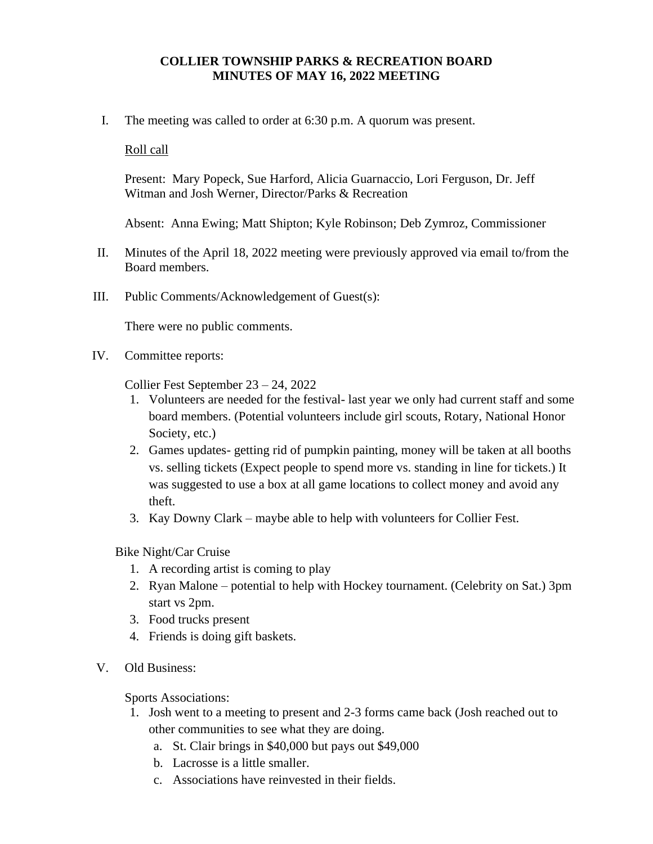## **COLLIER TOWNSHIP PARKS & RECREATION BOARD MINUTES OF MAY 16, 2022 MEETING**

I. The meeting was called to order at 6:30 p.m. A quorum was present.

Roll call

Present: Mary Popeck, Sue Harford, Alicia Guarnaccio, Lori Ferguson, Dr. Jeff Witman and Josh Werner, Director/Parks & Recreation

Absent: Anna Ewing; Matt Shipton; Kyle Robinson; Deb Zymroz, Commissioner

- II. Minutes of the April 18, 2022 meeting were previously approved via email to/from the Board members.
- III. Public Comments/Acknowledgement of Guest(s):

There were no public comments.

IV. Committee reports:

Collier Fest September 23 – 24, 2022

- 1. Volunteers are needed for the festival- last year we only had current staff and some board members. (Potential volunteers include girl scouts, Rotary, National Honor Society, etc.)
- 2. Games updates- getting rid of pumpkin painting, money will be taken at all booths vs. selling tickets (Expect people to spend more vs. standing in line for tickets.) It was suggested to use a box at all game locations to collect money and avoid any theft.
- 3. Kay Downy Clark maybe able to help with volunteers for Collier Fest.
- Bike Night/Car Cruise
	- 1. A recording artist is coming to play
	- 2. Ryan Malone potential to help with Hockey tournament. (Celebrity on Sat.) 3pm start vs 2pm.
	- 3. Food trucks present
	- 4. Friends is doing gift baskets.
- V. Old Business:

Sports Associations:

- 1. Josh went to a meeting to present and 2-3 forms came back (Josh reached out to other communities to see what they are doing.
	- a. St. Clair brings in \$40,000 but pays out \$49,000
	- b. Lacrosse is a little smaller.
	- c. Associations have reinvested in their fields.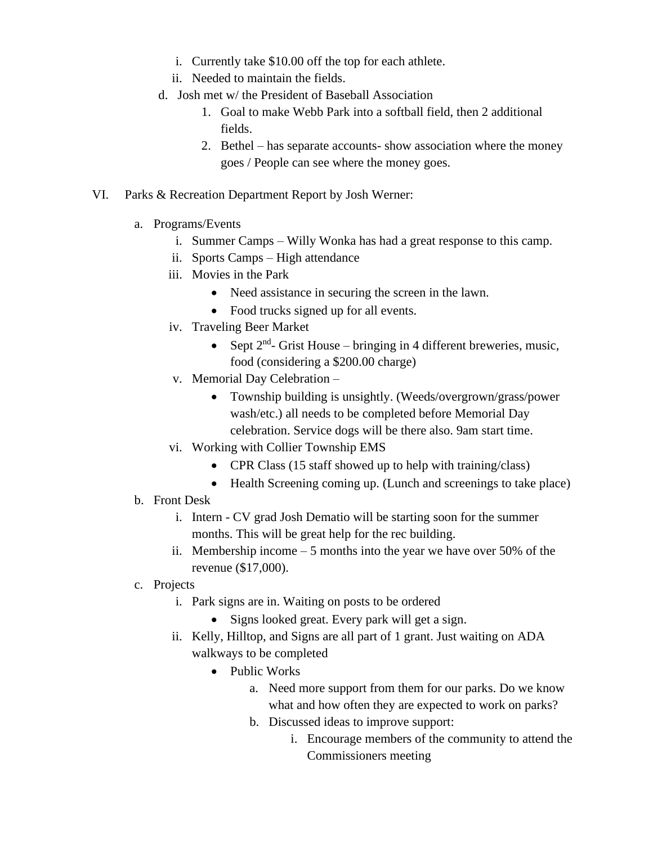- i. Currently take \$10.00 off the top for each athlete.
- ii. Needed to maintain the fields.
- d. Josh met w/ the President of Baseball Association
	- 1. Goal to make Webb Park into a softball field, then 2 additional fields.
	- 2. Bethel has separate accounts- show association where the money goes / People can see where the money goes.
- VI. Parks & Recreation Department Report by Josh Werner:
	- a. Programs/Events
		- i. Summer Camps Willy Wonka has had a great response to this camp.
		- ii. Sports Camps High attendance
		- iii. Movies in the Park
			- Need assistance in securing the screen in the lawn.
			- Food trucks signed up for all events.
		- iv. Traveling Beer Market
			- Sept  $2<sup>nd</sup>$  Grist House bringing in 4 different breweries, music, food (considering a \$200.00 charge)
		- v. Memorial Day Celebration
			- Township building is unsightly. (Weeds/overgrown/grass/power wash/etc.) all needs to be completed before Memorial Day celebration. Service dogs will be there also. 9am start time.
		- vi. Working with Collier Township EMS
			- CPR Class (15 staff showed up to help with training/class)
			- Health Screening coming up. (Lunch and screenings to take place)
	- b. Front Desk
		- i. Intern CV grad Josh Dematio will be starting soon for the summer months. This will be great help for the rec building.
		- ii. Membership income 5 months into the year we have over 50% of the revenue (\$17,000).
	- c. Projects
		- i. Park signs are in. Waiting on posts to be ordered
			- Signs looked great. Every park will get a sign.
		- ii. Kelly, Hilltop, and Signs are all part of 1 grant. Just waiting on ADA walkways to be completed
			- Public Works
				- a. Need more support from them for our parks. Do we know what and how often they are expected to work on parks?
				- b. Discussed ideas to improve support:
					- i. Encourage members of the community to attend the Commissioners meeting